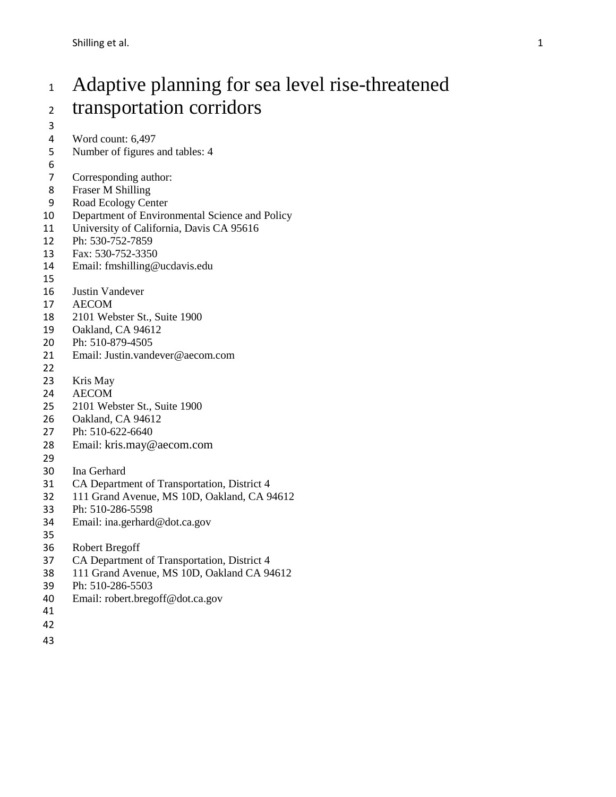# Adaptive planning for sea level rise-threatened transportation corridors

- 
- Word count: 6,497
- Number of figures and tables: 4
- 6<br>7
- Corresponding author:
- Fraser M Shilling
- Road Ecology Center
- Department of Environmental Science and Policy
- 11 University of California, Davis CA 95616
- Ph: 530-752-7859
- Fax: 530-752-3350
- Email: fmshilling@ucdavis.edu
- 
- Justin Vandever
- AECOM
- 2101 Webster St., Suite 1900
- Oakland, CA 94612
- Ph: 510-879-4505
- Email: Justin.vandever@aecom.com
- 
- Kris May
- AECOM
- 2101 Webster St., Suite 1900
- Oakland, CA 94612
- Ph: 510-622-6640
- Email: [kris.may@aecom.com](mailto:kris.may@aecom.com)
- 
- Ina Gerhard
- CA Department of Transportation, District 4
- 111 Grand Avenue, MS 10D, Oakland, CA 94612
- Ph: 510-286-5598
- Email: ina.gerhard@dot.ca.gov
- 
- [Robert Bregoff](mailto:robert.bregoff@dot.ca.gov)
- CA Department of Transportation, District 4
- 111 Grand Avenue, MS 10D, Oakland CA 94612
- Ph: 510-286-5503
- Email: robert.bregoff@dot.ca.gov
- 
- 
-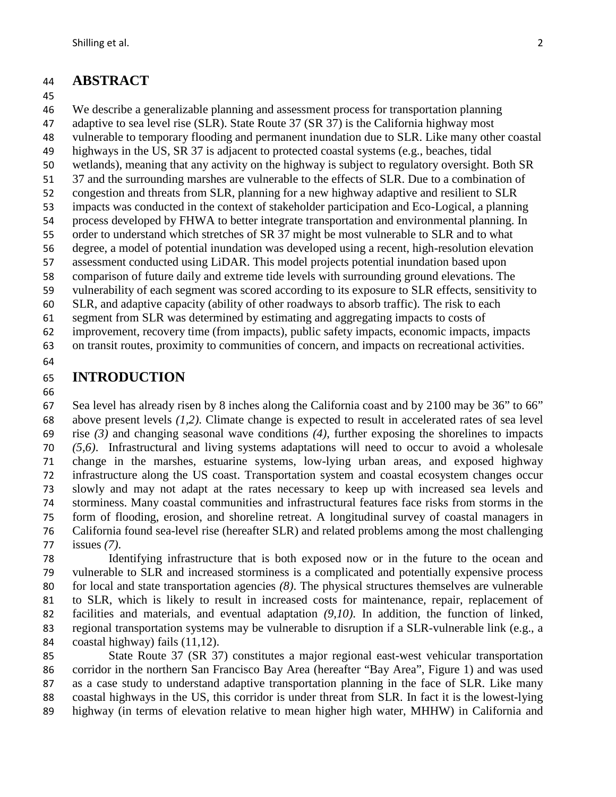#### **ABSTRACT**

#### 

We describe a generalizable planning and assessment process for transportation planning

adaptive to sea level rise (SLR). State Route 37 (SR 37) is the California highway most

vulnerable to temporary flooding and permanent inundation due to SLR. Like many other coastal

 highways in the US, SR 37 is adjacent to protected coastal systems (e.g., beaches, tidal wetlands), meaning that any activity on the highway is subject to regulatory oversight. Both SR

37 and the surrounding marshes are vulnerable to the effects of SLR. Due to a combination of

congestion and threats from SLR, planning for a new highway adaptive and resilient to SLR

impacts was conducted in the context of stakeholder participation and Eco-Logical, a planning

process developed by FHWA to better integrate transportation and environmental planning. In

order to understand which stretches of SR 37 might be most vulnerable to SLR and to what

degree, a model of potential inundation was developed using a recent, high-resolution elevation

assessment conducted using LiDAR. This model projects potential inundation based upon

comparison of future daily and extreme tide levels with surrounding ground elevations. The

vulnerability of each segment was scored according to its exposure to SLR effects, sensitivity to

SLR, and adaptive capacity (ability of other roadways to absorb traffic). The risk to each

segment from SLR was determined by estimating and aggregating impacts to costs of

 improvement, recovery time (from impacts), public safety impacts, economic impacts, impacts on transit routes, proximity to communities of concern, and impacts on recreational activities.

## **INTRODUCTION**

 Sea level has already risen by 8 inches along the California coast and by 2100 may be 36" to 66" above present levels *(1,2)*. Climate change is expected to result in accelerated rates of sea level rise *(3)* and changing seasonal wave conditions *(4)*, further exposing the shorelines to impacts *(5,6)*. Infrastructural and living systems adaptations will need to occur to avoid a wholesale change in the marshes, estuarine systems, low-lying urban areas, and exposed highway infrastructure along the US coast. Transportation system and coastal ecosystem changes occur slowly and may not adapt at the rates necessary to keep up with increased sea levels and storminess. Many coastal communities and infrastructural features face risks from storms in the form of flooding, erosion, and shoreline retreat. A longitudinal survey of coastal managers in California found sea-level rise (hereafter SLR) and related problems among the most challenging issues *(7)*.

 Identifying infrastructure that is both exposed now or in the future to the ocean and vulnerable to SLR and increased storminess is a complicated and potentially expensive process for local and state transportation agencies *(8)*. The physical structures themselves are vulnerable to SLR, which is likely to result in increased costs for maintenance, repair, replacement of facilities and materials, and eventual adaptation *(9,10)*. In addition, the function of linked, 83 regional transportation systems may be vulnerable to disruption if a SLR-vulnerable link (e.g., a coastal highway) fails (11,12).

 State Route 37 (SR 37) constitutes a major regional east-west vehicular transportation corridor in the northern San Francisco Bay Area (hereafter "Bay Area", Figure 1) and was used as a case study to understand adaptive transportation planning in the face of SLR. Like many coastal highways in the US, this corridor is under threat from SLR. In fact it is the lowest-lying highway (in terms of elevation relative to mean higher high water, MHHW) in California and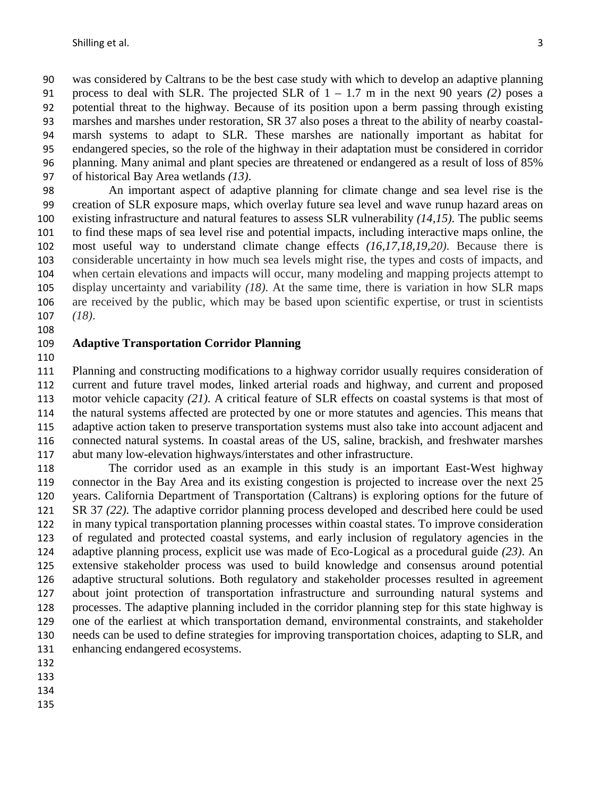was considered by Caltrans to be the best case study with which to develop an adaptive planning process to deal with SLR. The projected SLR of 1 – 1.7 m in the next 90 years *(2)* poses a potential threat to the highway. Because of its position upon a berm passing through existing marshes and marshes under restoration, SR 37 also poses a threat to the ability of nearby coastal- marsh systems to adapt to SLR. These marshes are nationally important as habitat for endangered species, so the role of the highway in their adaptation must be considered in corridor planning. Many animal and plant species are threatened or endangered as a result of loss of 85% of historical Bay Area wetlands *(13)*.

 An important aspect of adaptive planning for climate change and sea level rise is the creation of SLR exposure maps, which overlay future sea level and wave runup hazard areas on existing infrastructure and natural features to assess SLR vulnerability *(14,15)*. The public seems to find these maps of sea level rise and potential impacts, including interactive maps online, the most useful way to understand climate change effects *(16,17,18,19,20)*. Because there is considerable uncertainty in how much sea levels might rise, the types and costs of impacts, and when certain elevations and impacts will occur, many modeling and mapping projects attempt to display uncertainty and variability *(18)*. At the same time, there is variation in how SLR maps are received by the public, which may be based upon scientific expertise, or trust in scientists *(18)*.

#### **Adaptive Transportation Corridor Planning**

 Planning and constructing modifications to a highway corridor usually requires consideration of current and future travel modes, linked arterial roads and highway, and current and proposed motor vehicle capacity *(21)*. A critical feature of SLR effects on coastal systems is that most of the natural systems affected are protected by one or more statutes and agencies. This means that adaptive action taken to preserve transportation systems must also take into account adjacent and connected natural systems. In coastal areas of the US, saline, brackish, and freshwater marshes abut many low-elevation highways/interstates and other infrastructure.

 The corridor used as an example in this study is an important East-West highway connector in the Bay Area and its existing congestion is projected to increase over the next 25 years. California Department of Transportation (Caltrans) is exploring options for the future of SR 37 *(22)*. The adaptive corridor planning process developed and described here could be used in many typical transportation planning processes within coastal states. To improve consideration of regulated and protected coastal systems, and early inclusion of regulatory agencies in the adaptive planning process, explicit use was made of Eco-Logical as a procedural guide *(23)*. An extensive stakeholder process was used to build knowledge and consensus around potential adaptive structural solutions. Both regulatory and stakeholder processes resulted in agreement about joint protection of transportation infrastructure and surrounding natural systems and processes. The adaptive planning included in the corridor planning step for this state highway is one of the earliest at which transportation demand, environmental constraints, and stakeholder needs can be used to define strategies for improving transportation choices, adapting to SLR, and enhancing endangered ecosystems.

- 
- 
- 
-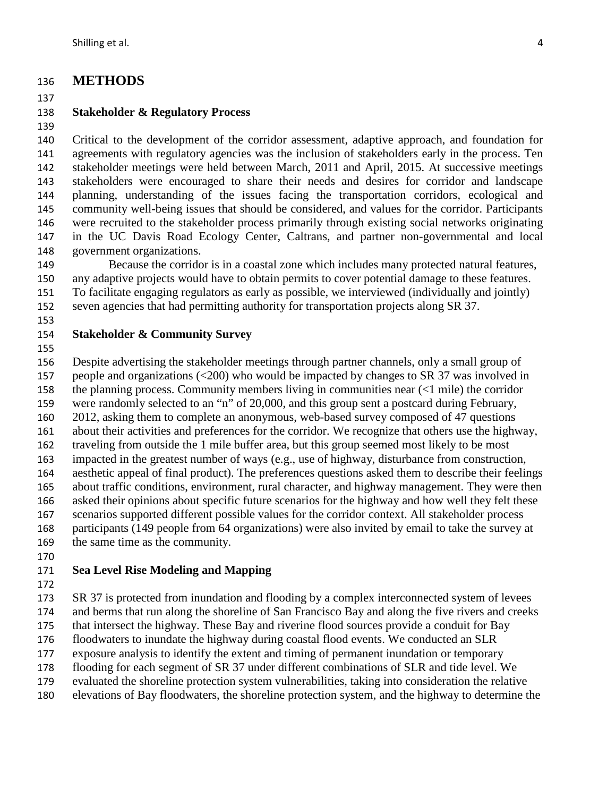## **METHODS**

#### 

## **Stakeholder & Regulatory Process**

 Critical to the development of the corridor assessment, adaptive approach, and foundation for agreements with regulatory agencies was the inclusion of stakeholders early in the process. Ten

 stakeholder meetings were held between March, 2011 and April, 2015. At successive meetings stakeholders were encouraged to share their needs and desires for corridor and landscape planning, understanding of the issues facing the transportation corridors, ecological and community well-being issues that should be considered, and values for the corridor. Participants were recruited to the stakeholder process primarily through existing social networks originating in the UC Davis Road Ecology Center, Caltrans, and partner non-governmental and local government organizations.

 Because the corridor is in a coastal zone which includes many protected natural features, any adaptive projects would have to obtain permits to cover potential damage to these features.

To facilitate engaging regulators as early as possible, we interviewed (individually and jointly)

seven agencies that had permitting authority for transportation projects along SR 37.

#### 

## **Stakeholder & Community Survey**

Despite advertising the stakeholder meetings through partner channels, only a small group of

people and organizations (<200) who would be impacted by changes to SR 37 was involved in

the planning process. Community members living in communities near (<1 mile) the corridor

 were randomly selected to an "n" of 20,000, and this group sent a postcard during February, 2012, asking them to complete an anonymous, web-based survey composed of 47 questions

about their activities and preferences for the corridor. We recognize that others use the highway,

traveling from outside the 1 mile buffer area, but this group seemed most likely to be most

impacted in the greatest number of ways (e.g., use of highway, disturbance from construction,

aesthetic appeal of final product). The preferences questions asked them to describe their feelings

 about traffic conditions, environment, rural character, and highway management. They were then asked their opinions about specific future scenarios for the highway and how well they felt these

scenarios supported different possible values for the corridor context. All stakeholder process

participants (149 people from 64 organizations) were also invited by email to take the survey at

the same time as the community.

## **Sea Level Rise Modeling and Mapping**

SR 37 is protected from inundation and flooding by a complex interconnected system of levees

and berms that run along the shoreline of San Francisco Bay and along the five rivers and creeks

that intersect the highway. These Bay and riverine flood sources provide a conduit for Bay

floodwaters to inundate the highway during coastal flood events. We conducted an SLR

exposure analysis to identify the extent and timing of permanent inundation or temporary

flooding for each segment of SR 37 under different combinations of SLR and tide level. We

evaluated the shoreline protection system vulnerabilities, taking into consideration the relative

elevations of Bay floodwaters, the shoreline protection system, and the highway to determine the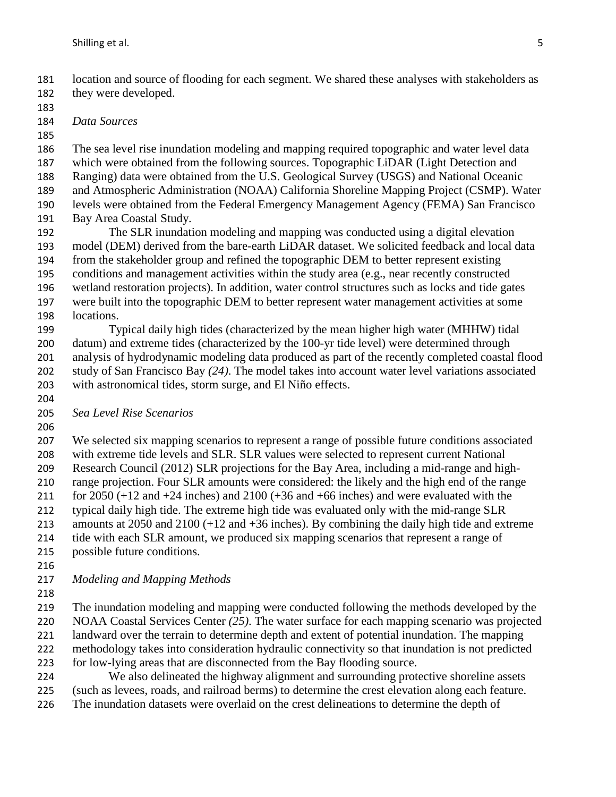location and source of flooding for each segment. We shared these analyses with stakeholders as they were developed.

*Data Sources*

 The sea level rise inundation modeling and mapping required topographic and water level data which were obtained from the following sources. Topographic LiDAR (Light Detection and

- Ranging) data were obtained from the U.S. Geological Survey (USGS) and National Oceanic
- and Atmospheric Administration (NOAA) California Shoreline Mapping Project (CSMP). Water
- levels were obtained from the Federal Emergency Management Agency (FEMA) San Francisco
- Bay Area Coastal Study.

 The SLR inundation modeling and mapping was conducted using a digital elevation model (DEM) derived from the bare-earth LiDAR dataset. We solicited feedback and local data from the stakeholder group and refined the topographic DEM to better represent existing conditions and management activities within the study area (e.g., near recently constructed wetland restoration projects). In addition, water control structures such as locks and tide gates were built into the topographic DEM to better represent water management activities at some locations.

 Typical daily high tides (characterized by the mean higher high water (MHHW) tidal datum) and extreme tides (characterized by the 100-yr tide level) were determined through analysis of hydrodynamic modeling data produced as part of the recently completed coastal flood study of San Francisco Bay *(24)*. The model takes into account water level variations associated with astronomical tides, storm surge, and El Niño effects.

- 
- *Sea Level Rise Scenarios*
- 

 We selected six mapping scenarios to represent a range of possible future conditions associated with extreme tide levels and SLR. SLR values were selected to represent current National Research Council (2012) SLR projections for the Bay Area, including a mid-range and high- range projection. Four SLR amounts were considered: the likely and the high end of the range 211 for 2050  $(+12$  and  $+24$  inches) and 2100  $(+36$  and  $+66$  inches) and were evaluated with the typical daily high tide. The extreme high tide was evaluated only with the mid-range SLR amounts at 2050 and 2100 (+12 and +36 inches). By combining the daily high tide and extreme tide with each SLR amount, we produced six mapping scenarios that represent a range of possible future conditions.

- 
- *Modeling and Mapping Methods*
- 

 The inundation modeling and mapping were conducted following the methods developed by the NOAA Coastal Services Center *(25)*. The water surface for each mapping scenario was projected landward over the terrain to determine depth and extent of potential inundation. The mapping methodology takes into consideration hydraulic connectivity so that inundation is not predicted for low-lying areas that are disconnected from the Bay flooding source.

We also delineated the highway alignment and surrounding protective shoreline assets

- (such as levees, roads, and railroad berms) to determine the crest elevation along each feature.
- The inundation datasets were overlaid on the crest delineations to determine the depth of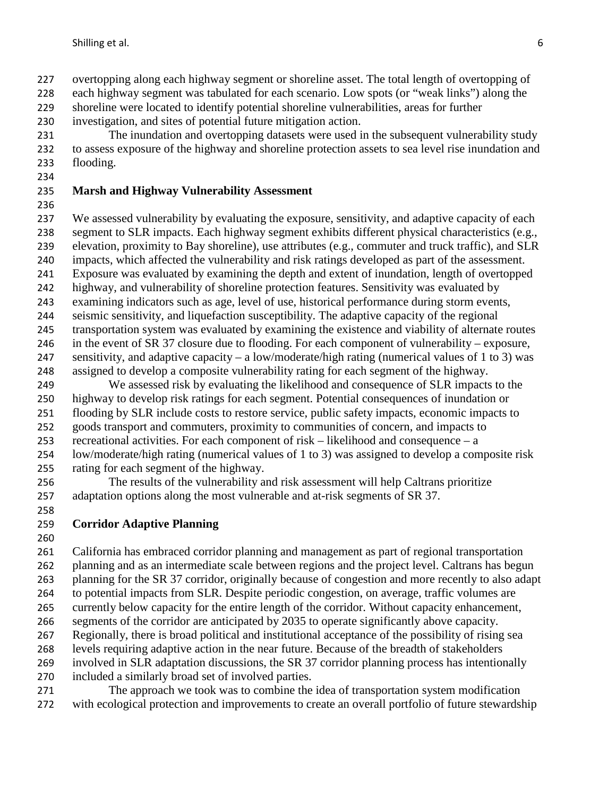overtopping along each highway segment or shoreline asset. The total length of overtopping of

each highway segment was tabulated for each scenario. Low spots (or "weak links") along the

shoreline were located to identify potential shoreline vulnerabilities, areas for further

investigation, and sites of potential future mitigation action.

 The inundation and overtopping datasets were used in the subsequent vulnerability study to assess exposure of the highway and shoreline protection assets to sea level rise inundation and flooding.

## **Marsh and Highway Vulnerability Assessment**

 We assessed vulnerability by evaluating the exposure, sensitivity, and adaptive capacity of each segment to SLR impacts. Each highway segment exhibits different physical characteristics (e.g., elevation, proximity to Bay shoreline), use attributes (e.g., commuter and truck traffic), and SLR impacts, which affected the vulnerability and risk ratings developed as part of the assessment. Exposure was evaluated by examining the depth and extent of inundation, length of overtopped highway, and vulnerability of shoreline protection features. Sensitivity was evaluated by examining indicators such as age, level of use, historical performance during storm events,

- seismic sensitivity, and liquefaction susceptibility. The adaptive capacity of the regional
- transportation system was evaluated by examining the existence and viability of alternate routes
- in the event of SR 37 closure due to flooding. For each component of vulnerability exposure,
- 247 sensitivity, and adaptive capacity a low/moderate/high rating (numerical values of 1 to 3) was assigned to develop a composite vulnerability rating for each segment of the highway.
- We assessed risk by evaluating the likelihood and consequence of SLR impacts to the highway to develop risk ratings for each segment. Potential consequences of inundation or flooding by SLR include costs to restore service, public safety impacts, economic impacts to
- goods transport and commuters, proximity to communities of concern, and impacts to
- recreational activities. For each component of risk likelihood and consequence a
- low/moderate/high rating (numerical values of 1 to 3) was assigned to develop a composite risk rating for each segment of the highway.
- The results of the vulnerability and risk assessment will help Caltrans prioritize 257 adaptation options along the most vulnerable and at-risk segments of SR 37.
- 

# **Corridor Adaptive Planning**

 California has embraced corridor planning and management as part of regional transportation planning and as an intermediate scale between regions and the project level. Caltrans has begun planning for the SR 37 corridor, originally because of congestion and more recently to also adapt to potential impacts from SLR. Despite periodic congestion, on average, traffic volumes are currently below capacity for the entire length of the corridor. Without capacity enhancement, segments of the corridor are anticipated by 2035 to operate significantly above capacity. Regionally, there is broad political and institutional acceptance of the possibility of rising sea levels requiring adaptive action in the near future. Because of the breadth of stakeholders involved in SLR adaptation discussions, the SR 37 corridor planning process has intentionally included a similarly broad set of involved parties.

 The approach we took was to combine the idea of transportation system modification with ecological protection and improvements to create an overall portfolio of future stewardship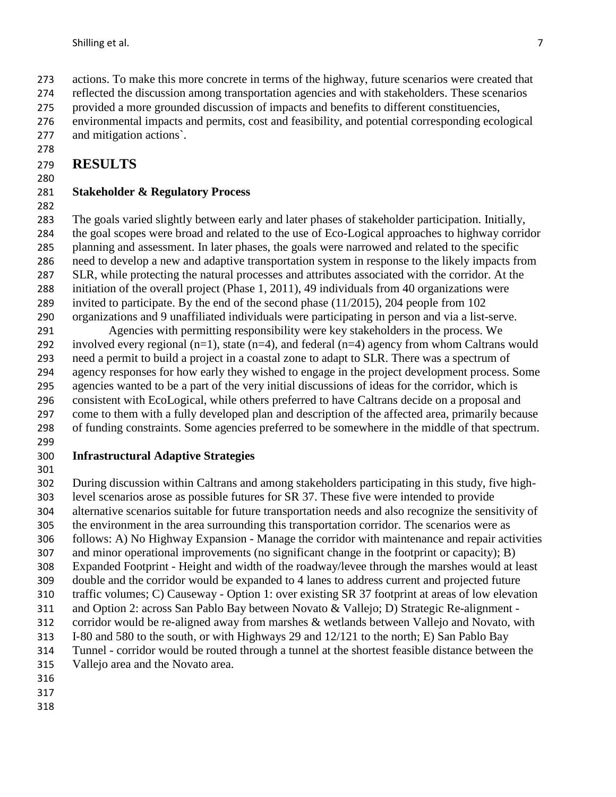reflected the discussion among transportation agencies and with stakeholders. These scenarios provided a more grounded discussion of impacts and benefits to different constituencies,

 environmental impacts and permits, cost and feasibility, and potential corresponding ecological and mitigation actions`.

#### **RESULTS**

#### **Stakeholder & Regulatory Process**

 The goals varied slightly between early and later phases of stakeholder participation. Initially, the goal scopes were broad and related to the use of Eco-Logical approaches to highway corridor planning and assessment. In later phases, the goals were narrowed and related to the specific need to develop a new and adaptive transportation system in response to the likely impacts from SLR, while protecting the natural processes and attributes associated with the corridor. At the

initiation of the overall project (Phase 1, 2011), 49 individuals from 40 organizations were

invited to participate. By the end of the second phase (11/2015), 204 people from 102

 organizations and 9 unaffiliated individuals were participating in person and via a list-serve. Agencies with permitting responsibility were key stakeholders in the process. We

292 involved every regional  $(n=1)$ , state  $(n=4)$ , and federal  $(n=4)$  agency from whom Caltrans would need a permit to build a project in a coastal zone to adapt to SLR. There was a spectrum of agency responses for how early they wished to engage in the project development process. Some agencies wanted to be a part of the very initial discussions of ideas for the corridor, which is consistent with EcoLogical, while others preferred to have Caltrans decide on a proposal and come to them with a fully developed plan and description of the affected area, primarily because

of funding constraints. Some agencies preferred to be somewhere in the middle of that spectrum.

#### **Infrastructural Adaptive Strategies**

 During discussion within Caltrans and among stakeholders participating in this study, five high- level scenarios arose as possible futures for SR 37. These five were intended to provide alternative scenarios suitable for future transportation needs and also recognize the sensitivity of the environment in the area surrounding this transportation corridor. The scenarios were as follows: A) No Highway Expansion - Manage the corridor with maintenance and repair activities and minor operational improvements (no significant change in the footprint or capacity); B) Expanded Footprint - Height and width of the roadway/levee through the marshes would at least double and the corridor would be expanded to 4 lanes to address current and projected future

 traffic volumes; C) Causeway - Option 1: over existing SR 37 footprint at areas of low elevation and Option 2: across San Pablo Bay between Novato & Vallejo; D) Strategic Re-alignment -

312 corridor would be re-aligned away from marshes & wetlands between Vallejo and Novato, with

313 I–80 and 580 to the south, or with Highways 29 and 12/121 to the north; E) San Pablo Bay<br>314 Tunnel - corridor would be routed through a tunnel at the shortest feasible distance between

Tunnel - corridor would be routed through a tunnel at the shortest feasible distance between the

- Vallejo area and the Novato area.
- 
- 
-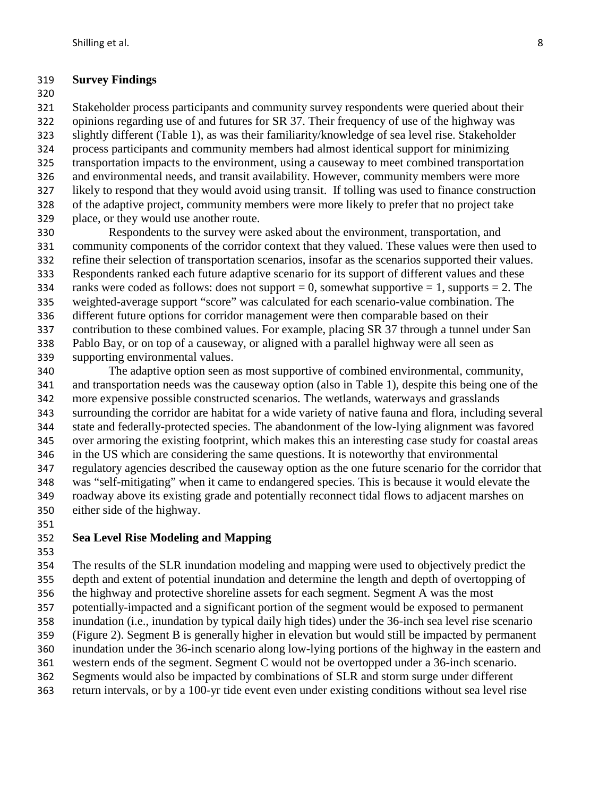#### **Survey Findings**

 Stakeholder process participants and community survey respondents were queried about their opinions regarding use of and futures for SR 37. Their frequency of use of the highway was slightly different (Table 1), as was their familiarity/knowledge of sea level rise. Stakeholder process participants and community members had almost identical support for minimizing transportation impacts to the environment, using a causeway to meet combined transportation and environmental needs, and transit availability. However, community members were more likely to respond that they would avoid using transit. If tolling was used to finance construction of the adaptive project, community members were more likely to prefer that no project take place, or they would use another route.

 Respondents to the survey were asked about the environment, transportation, and community components of the corridor context that they valued. These values were then used to refine their selection of transportation scenarios, insofar as the scenarios supported their values. Respondents ranked each future adaptive scenario for its support of different values and these 334 ranks were coded as follows: does not support  $= 0$ , somewhat supportive  $= 1$ , supports  $= 2$ . The weighted-average support "score" was calculated for each scenario-value combination. The different future options for corridor management were then comparable based on their contribution to these combined values. For example, placing SR 37 through a tunnel under San Pablo Bay, or on top of a causeway, or aligned with a parallel highway were all seen as supporting environmental values.

 The adaptive option seen as most supportive of combined environmental, community, and transportation needs was the causeway option (also in Table 1), despite this being one of the more expensive possible constructed scenarios. The wetlands, waterways and grasslands surrounding the corridor are habitat for a wide variety of native fauna and flora, including several state and federally-protected species. The abandonment of the low-lying alignment was favored over armoring the existing footprint, which makes this an interesting case study for coastal areas in the US which are considering the same questions. It is noteworthy that environmental regulatory agencies described the causeway option as the one future scenario for the corridor that was "self-mitigating" when it came to endangered species. This is because it would elevate the roadway above its existing grade and potentially reconnect tidal flows to adjacent marshes on either side of the highway.

#### **Sea Level Rise Modeling and Mapping**

 The results of the SLR inundation modeling and mapping were used to objectively predict the depth and extent of potential inundation and determine the length and depth of overtopping of the highway and protective shoreline assets for each segment. Segment A was the most potentially-impacted and a significant portion of the segment would be exposed to permanent inundation (i.e., inundation by typical daily high tides) under the 36-inch sea level rise scenario (Figure 2). Segment B is generally higher in elevation but would still be impacted by permanent inundation under the 36-inch scenario along low-lying portions of the highway in the eastern and western ends of the segment. Segment C would not be overtopped under a 36-inch scenario. Segments would also be impacted by combinations of SLR and storm surge under different return intervals, or by a 100-yr tide event even under existing conditions without sea level rise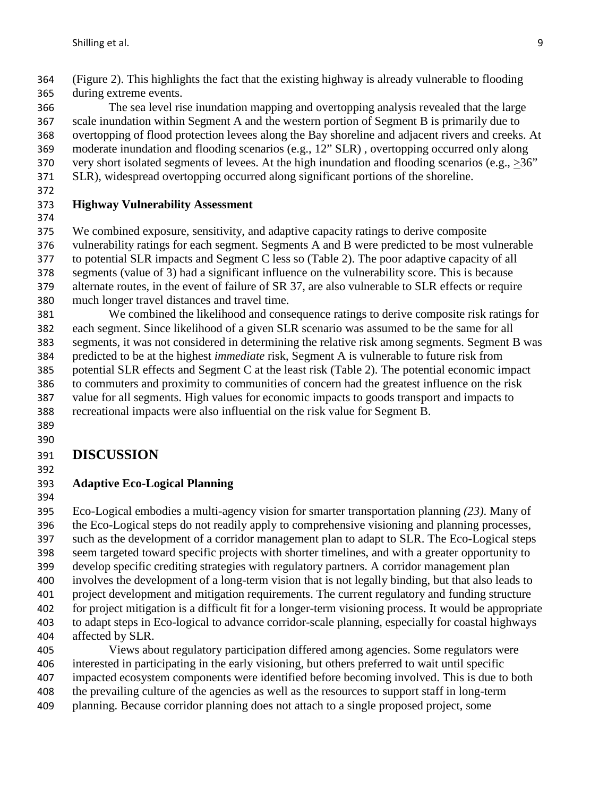(Figure 2). This highlights the fact that the existing highway is already vulnerable to flooding during extreme events.

 The sea level rise inundation mapping and overtopping analysis revealed that the large scale inundation within Segment A and the western portion of Segment B is primarily due to overtopping of flood protection levees along the Bay shoreline and adjacent rivers and creeks. At moderate inundation and flooding scenarios (e.g., 12" SLR) , overtopping occurred only along 370 very short isolated segments of levees. At the high inundation and flooding scenarios (e.g.,  $>36$ ")

- SLR), widespread overtopping occurred along significant portions of the shoreline.
- 

#### **Highway Vulnerability Assessment**

We combined exposure, sensitivity, and adaptive capacity ratings to derive composite

vulnerability ratings for each segment. Segments A and B were predicted to be most vulnerable

to potential SLR impacts and Segment C less so (Table 2). The poor adaptive capacity of all

segments (value of 3) had a significant influence on the vulnerability score. This is because

 alternate routes, in the event of failure of SR 37, are also vulnerable to SLR effects or require much longer travel distances and travel time.

 We combined the likelihood and consequence ratings to derive composite risk ratings for each segment. Since likelihood of a given SLR scenario was assumed to be the same for all segments, it was not considered in determining the relative risk among segments. Segment B was predicted to be at the highest *immediate* risk, Segment A is vulnerable to future risk from potential SLR effects and Segment C at the least risk (Table 2). The potential economic impact to commuters and proximity to communities of concern had the greatest influence on the risk value for all segments. High values for economic impacts to goods transport and impacts to recreational impacts were also influential on the risk value for Segment B.

 

## **DISCUSSION**

## **Adaptive Eco-Logical Planning**

 Eco-Logical embodies a multi-agency vision for smarter transportation planning *(23)*. Many of the Eco-Logical steps do not readily apply to comprehensive visioning and planning processes, such as the development of a corridor management plan to adapt to SLR. The Eco-Logical steps seem targeted toward specific projects with shorter timelines, and with a greater opportunity to develop specific crediting strategies with regulatory partners. A corridor management plan involves the development of a long-term vision that is not legally binding, but that also leads to project development and mitigation requirements. The current regulatory and funding structure for project mitigation is a difficult fit for a longer-term visioning process. It would be appropriate to adapt steps in Eco-logical to advance corridor-scale planning, especially for coastal highways affected by SLR. Views about regulatory participation differed among agencies. Some regulators were interested in participating in the early visioning, but others preferred to wait until specific

impacted ecosystem components were identified before becoming involved. This is due to both

the prevailing culture of the agencies as well as the resources to support staff in long-term

planning. Because corridor planning does not attach to a single proposed project, some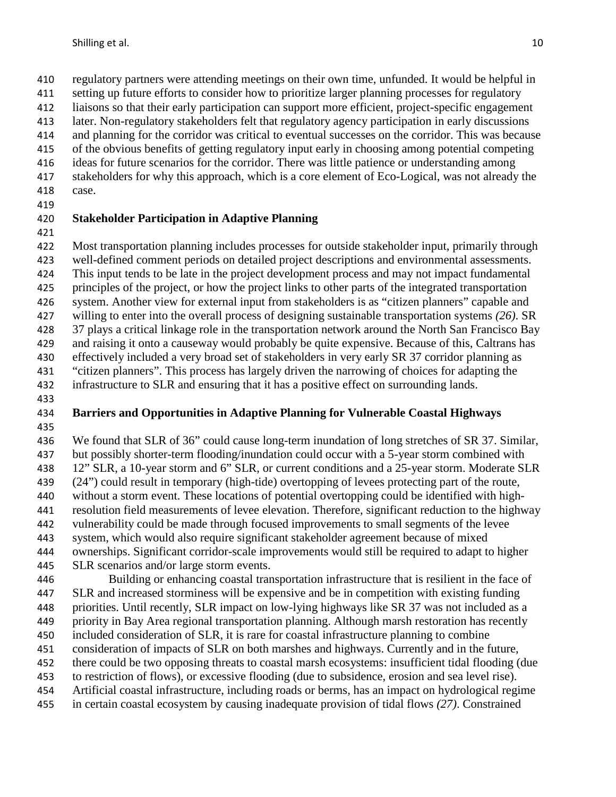regulatory partners were attending meetings on their own time, unfunded. It would be helpful in

setting up future efforts to consider how to prioritize larger planning processes for regulatory

liaisons so that their early participation can support more efficient, project-specific engagement

 later. Non-regulatory stakeholders felt that regulatory agency participation in early discussions and planning for the corridor was critical to eventual successes on the corridor. This was because

of the obvious benefits of getting regulatory input early in choosing among potential competing

ideas for future scenarios for the corridor. There was little patience or understanding among

- stakeholders for why this approach, which is a core element of Eco-Logical, was not already the
- case.
- 

## **Stakeholder Participation in Adaptive Planning**

Most transportation planning includes processes for outside stakeholder input, primarily through

well-defined comment periods on detailed project descriptions and environmental assessments.

This input tends to be late in the project development process and may not impact fundamental

- principles of the project, or how the project links to other parts of the integrated transportation
- system. Another view for external input from stakeholders is as "citizen planners" capable and
- willing to enter into the overall process of designing sustainable transportation systems *(26)*. SR

37 plays a critical linkage role in the transportation network around the North San Francisco Bay

and raising it onto a causeway would probably be quite expensive. Because of this, Caltrans has

 effectively included a very broad set of stakeholders in very early SR 37 corridor planning as "citizen planners". This process has largely driven the narrowing of choices for adapting the

infrastructure to SLR and ensuring that it has a positive effect on surrounding lands.

#### **Barriers and Opportunities in Adaptive Planning for Vulnerable Coastal Highways**

 We found that SLR of 36" could cause long-term inundation of long stretches of SR 37. Similar, but possibly shorter-term flooding/inundation could occur with a 5-year storm combined with 12" SLR, a 10-year storm and 6" SLR, or current conditions and a 25-year storm. Moderate SLR (24") could result in temporary (high-tide) overtopping of levees protecting part of the route, without a storm event. These locations of potential overtopping could be identified with high- resolution field measurements of levee elevation. Therefore, significant reduction to the highway vulnerability could be made through focused improvements to small segments of the levee system, which would also require significant stakeholder agreement because of mixed

 ownerships. Significant corridor-scale improvements would still be required to adapt to higher SLR scenarios and/or large storm events.

 Building or enhancing coastal transportation infrastructure that is resilient in the face of SLR and increased storminess will be expensive and be in competition with existing funding priorities. Until recently, SLR impact on low-lying highways like SR 37 was not included as a priority in Bay Area regional transportation planning. Although marsh restoration has recently included consideration of SLR, it is rare for coastal infrastructure planning to combine consideration of impacts of SLR on both marshes and highways. Currently and in the future, there could be two opposing threats to coastal marsh ecosystems: insufficient tidal flooding (due to restriction of flows), or excessive flooding (due to subsidence, erosion and sea level rise). Artificial coastal infrastructure, including roads or berms, has an impact on hydrological regime

in certain coastal ecosystem by causing inadequate provision of tidal flows *(27)*. Constrained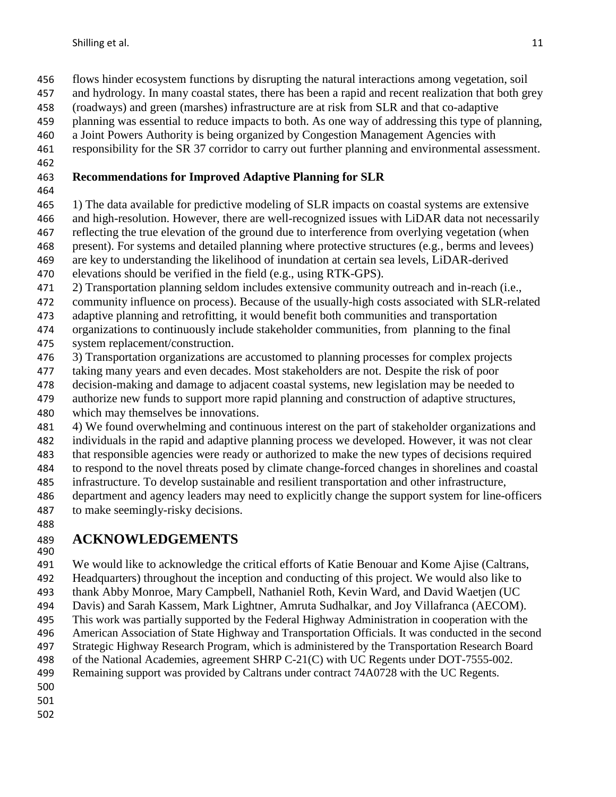- flows hinder ecosystem functions by disrupting the natural interactions among vegetation, soil
- and hydrology. In many coastal states, there has been a rapid and recent realization that both grey
- (roadways) and green (marshes) infrastructure are at risk from SLR and that co-adaptive
- planning was essential to reduce impacts to both. As one way of addressing this type of planning,
- a Joint Powers Authority is being organized by Congestion Management Agencies with
- responsibility for the SR 37 corridor to carry out further planning and environmental assessment.
- 

## **Recommendations for Improved Adaptive Planning for SLR**

- 
- 1) The data available for predictive modeling of SLR impacts on coastal systems are extensive
- and high-resolution. However, there are well-recognized issues with LiDAR data not necessarily
- reflecting the true elevation of the ground due to interference from overlying vegetation (when
- present). For systems and detailed planning where protective structures (e.g., berms and levees)
- are key to understanding the likelihood of inundation at certain sea levels, LiDAR-derived
- elevations should be verified in the field (e.g., using RTK-GPS).
- 2) Transportation planning seldom includes extensive community outreach and in-reach (i.e.,
- community influence on process). Because of the usually-high costs associated with SLR-related
- adaptive planning and retrofitting, it would benefit both communities and transportation
- organizations to continuously include stakeholder communities, from planning to the final
- system replacement/construction.
- 3) Transportation organizations are accustomed to planning processes for complex projects
- taking many years and even decades. Most stakeholders are not. Despite the risk of poor
- decision-making and damage to adjacent coastal systems, new legislation may be needed to
- authorize new funds to support more rapid planning and construction of adaptive structures,
- which may themselves be innovations.
- 4) We found overwhelming and continuous interest on the part of stakeholder organizations and
- individuals in the rapid and adaptive planning process we developed. However, it was not clear
- that responsible agencies were ready or authorized to make the new types of decisions required
- to respond to the novel threats posed by climate change-forced changes in shorelines and coastal
- infrastructure. To develop sustainable and resilient transportation and other infrastructure,
- department and agency leaders may need to explicitly change the support system for line-officers to make seemingly-risky decisions.
- 

# **ACKNOWLEDGEMENTS**

- 
- We would like to acknowledge the critical efforts of Katie Benouar and Kome Ajise (Caltrans,
- Headquarters) throughout the inception and conducting of this project. We would also like to
- thank Abby Monroe, Mary Campbell, Nathaniel Roth, Kevin Ward, and David Waetjen (UC
- Davis) and Sarah Kassem, Mark Lightner, Amruta Sudhalkar, and Joy Villafranca (AECOM).
- This work was partially supported by the Federal Highway Administration in cooperation with the
- American Association of State Highway and Transportation Officials. It was conducted in the second Strategic Highway Research Program, which is administered by the Transportation Research Board
- of the National Academies, agreement SHRP C-21(C) with UC Regents under DOT-7555-002.
- Remaining support was provided by Caltrans under contract 74A0728 with the UC Regents.
- 
- 
-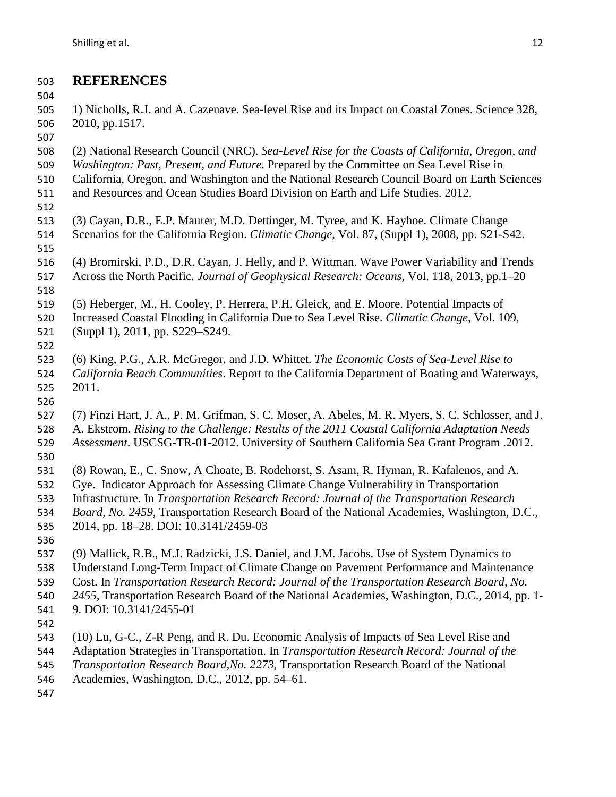## **REFERENCES**

 1) Nicholls, R.J. and A. Cazenave. Sea-level Rise and its Impact on Coastal Zones. Science 328, 2010, pp.1517. 

- (2) National Research Council (NRC). *Sea-Level Rise for the Coasts of California, Oregon, and*
- *Washington: Past, Present, and Future*. Prepared by the Committee on Sea Level Rise in
- California, Oregon, and Washington and the National Research Council Board on Earth Sciences
- and Resources and Ocean Studies Board Division on Earth and Life Studies. 2012.
- (3) Cayan, D.R., E.P. Maurer, M.D. Dettinger, M. Tyree, and K. Hayhoe. Climate Change
- Scenarios for the California Region. *Climatic Change,* Vol. 87, (Suppl 1), 2008, pp. S21-S42.
- (4) Bromirski, P.D., D.R. Cayan, J. Helly, and P. Wittman. Wave Power Variability and Trends Across the North Pacific. *Journal of Geophysical Research: Oceans*, Vol. 118, 2013, pp.1–20
- (5) Heberger, M., H. Cooley, P. Herrera, P.H. Gleick, and E. Moore. Potential Impacts of
- Increased Coastal Flooding in California Due to Sea Level Rise. *Climatic Change,* Vol. 109, (Suppl 1), 2011, pp. S229–S249.
- (6) King, P.G., A.R. McGregor, and J.D. Whittet. *The Economic Costs of Sea-Level Rise to California Beach Communities*. Report to the California Department of Boating and Waterways, 2011.
- 

- (7) Finzi Hart, J. A., P. M. Grifman, S. C. Moser, A. Abeles, M. R. Myers, S. C. Schlosser, and J.
- A. Ekstrom. *Rising to the Challenge: Results of the 2011 Coastal California Adaptation Needs*
- *Assessment*. USCSG-TR-01-2012. University of Southern California Sea Grant Program .2012.
- (8) Rowan, E., C. Snow, A Choate, B. Rodehorst, S. Asam, R. Hyman, R. Kafalenos, and A.
- Gye. Indicator Approach for Assessing Climate Change Vulnerability in Transportation
- Infrastructure. In *Transportation Research Record: Journal of the Transportation Research*
- *Board, No. 2459,* Transportation Research Board of the National Academies, Washington, D.C.,
- 2014, pp. 18–28. DOI: 10.3141/2459-03
- 
- (9) Mallick, R.B., M.J. Radzicki, J.S. Daniel, and J.M. Jacobs. Use of System Dynamics to
- Understand Long-Term Impact of Climate Change on Pavement Performance and Maintenance
- Cost. In *Transportation Research Record: Journal of the Transportation Research Board, No.*
- *2455,* Transportation Research Board of the National Academies, Washington, D.C., 2014, pp. 1-
- 9. DOI: 10.3141/2455-01
- 
- (10) Lu, G-C., Z-R Peng, and R. Du. Economic Analysis of Impacts of Sea Level Rise and
- Adaptation Strategies in Transportation. In *Transportation Research Record: Journal of the*
- *Transportation Research Board,No. 2273,* Transportation Research Board of the National
- Academies, Washington, D.C., 2012, pp. 54–61.
-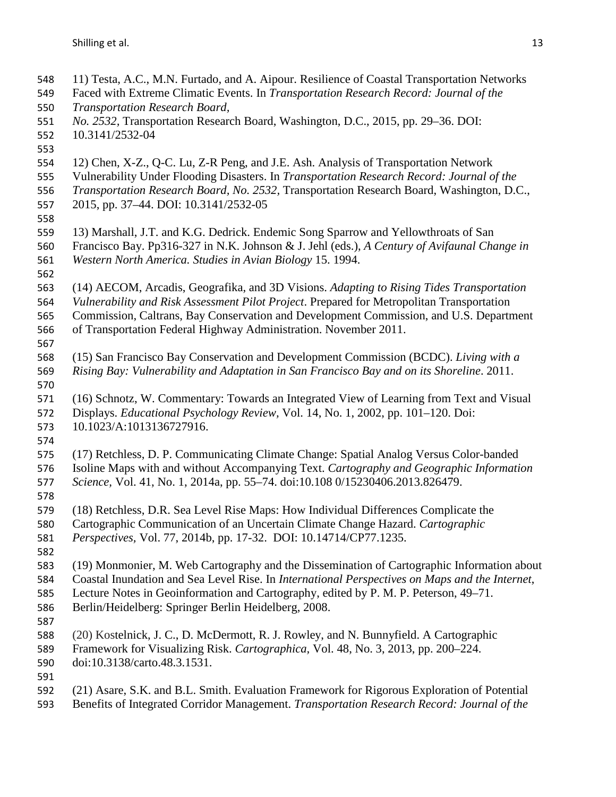- 11) Testa, A.C., M.N. Furtado, and A. Aipour. Resilience of Coastal Transportation Networks Faced with Extreme Climatic Events. In *Transportation Research Record: Journal of the Transportation Research Board, No. 2532,* Transportation Research Board, Washington, D.C., 2015, pp. 29–36. DOI: 10.3141/2532-04 12) Chen, X-Z., Q-C. Lu, Z-R Peng, and J.E. Ash. Analysis of Transportation Network Vulnerability Under Flooding Disasters. In *Transportation Research Record: Journal of the Transportation Research Board, No. 2532,* Transportation Research Board, Washington, D.C., 2015, pp. 37–44. DOI: 10.3141/2532-05 13) Marshall, J.T. and K.G. Dedrick. Endemic Song Sparrow and Yellowthroats of San Francisco Bay. Pp316-327 in N.K. Johnson & J. Jehl (eds.), *A Century of Avifaunal Change in Western North America. Studies in Avian Biology* 15. 1994. (14) AECOM, Arcadis, Geografika, and 3D Visions. *Adapting to Rising Tides Transportation Vulnerability and Risk Assessment Pilot Project*. Prepared for Metropolitan Transportation Commission, Caltrans, Bay Conservation and Development Commission, and U.S. Department of Transportation Federal Highway Administration. November 2011. (15) San Francisco Bay Conservation and Development Commission (BCDC). *Living with a Rising Bay: Vulnerability and Adaptation in San Francisco Bay and on its Shoreline*. 2011. (16) Schnotz, W. Commentary: Towards an Integrated View of Learning from Text and Visual Displays. *Educational Psychology Review,* Vol. 14, No. 1, 2002, pp. 101–120. Doi: 10.1023/A:1013136727916. (17) Retchless, D. P. Communicating Climate Change: Spatial Analog Versus Color-banded Isoline Maps with and without Accompanying Text. *Cartography and Geographic Information Science,* Vol. 41, No. 1, 2014a, pp. 55–74. doi:10.108 0/15230406.2013.826479. (18) Retchless, D.R. Sea Level Rise Maps: How Individual Differences Complicate the Cartographic Communication of an Uncertain Climate Change Hazard. *Cartographic Perspectives,* Vol. 77, 2014b, pp. 17-32. DOI: 10.14714/CP77.1235. (19) Monmonier, M. Web Cartography and the Dissemination of Cartographic Information about Coastal Inundation and Sea Level Rise. In *International Perspectives on Maps and the Internet*, Lecture Notes in Geoinformation and Cartography, edited by P. M. P. Peterson, 49–71. Berlin/Heidelberg: Springer Berlin Heidelberg, 2008. (20) Kostelnick, J. C., D. McDermott, R. J. Rowley, and N. Bunnyfield. A Cartographic Framework for Visualizing Risk. *Cartographica,* Vol. 48, No. 3, 2013, pp. 200–224. doi:10.3138/carto.48.3.1531. (21) Asare, S.K. and B.L. Smith. Evaluation Framework for Rigorous Exploration of Potential
- Benefits of Integrated Corridor Management. *Transportation Research Record: Journal of the*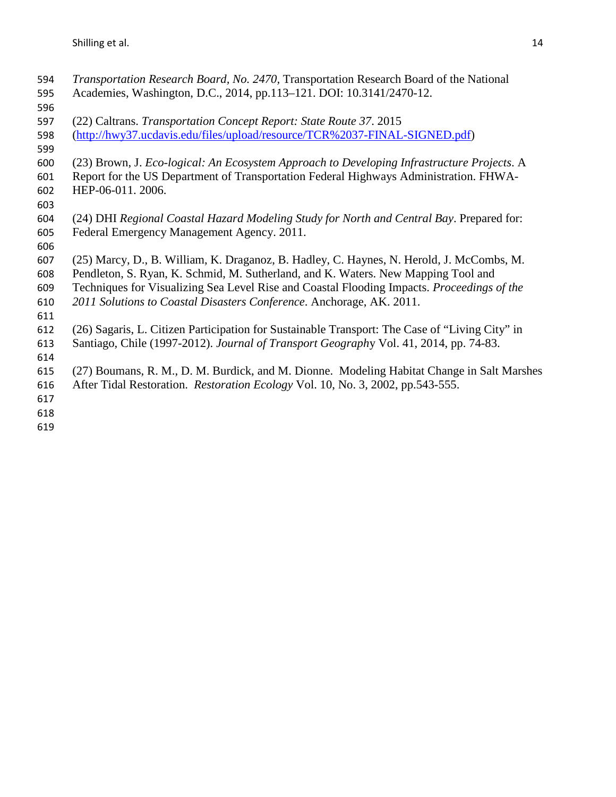- *Transportation Research Board, No. 2470,* Transportation Research Board of the National Academies, Washington, D.C., 2014, pp.113–121. DOI: 10.3141/2470-12. (22) Caltrans. *Transportation Concept Report: State Route 37*. 2015 [\(http://hwy37.ucdavis.edu/files/upload/resource/TCR%2037-FINAL-SIGNED.pdf\)](http://hwy37.ucdavis.edu/files/upload/resource/TCR%2037-FINAL-SIGNED.pdf) (23) Brown, J. *Eco-logical: An Ecosystem Approach to Developing Infrastructure Projects*. A Report for the US Department of Transportation Federal Highways Administration. FHWA- HEP-06-011. 2006. (24) DHI *Regional Coastal Hazard Modeling Study for North and Central Bay*. Prepared for: Federal Emergency Management Agency. 2011. (25) Marcy, D., B. William, K. Draganoz, B. Hadley, C. Haynes, N. Herold, J. McCombs, M. Pendleton, S. Ryan, K. Schmid, M. Sutherland, and K. Waters. New Mapping Tool and Techniques for Visualizing Sea Level Rise and Coastal Flooding Impacts. *Proceedings of the 2011 Solutions to Coastal Disasters Conference*. Anchorage, AK. 2011. (26) Sagaris, L. Citizen Participation for Sustainable Transport: The Case of "Living City" in Santiago, Chile (1997-2012). *Journal of Transport Geograph*y Vol. 41, 2014, pp. 74-83. (27) Boumans, R. M., D. M. Burdick, and M. Dionne. Modeling Habitat Change in Salt Marshes After Tidal Restoration. *Restoration Ecology* Vol. 10, No. 3, 2002, pp.543-555.
-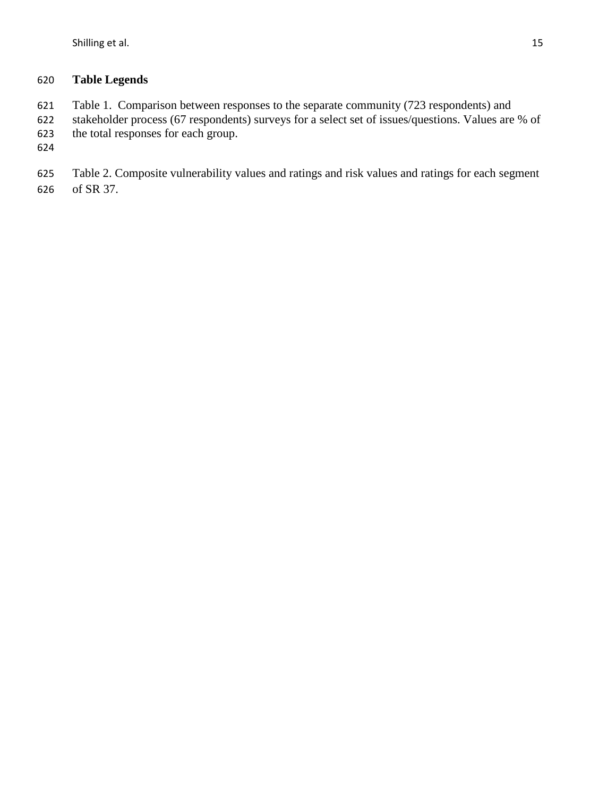## **Table Legends**

- 621 Table 1. Comparison between responses to the separate community (723 respondents) and<br>622 stakeholder process (67 respondents) surveys for a select set of issues/questions. Values are
- stakeholder process (67 respondents) surveys for a select set of issues/questions. Values are % of the total responses for each group.
- 
- Table 2. Composite vulnerability values and ratings and risk values and ratings for each segment of SR 37.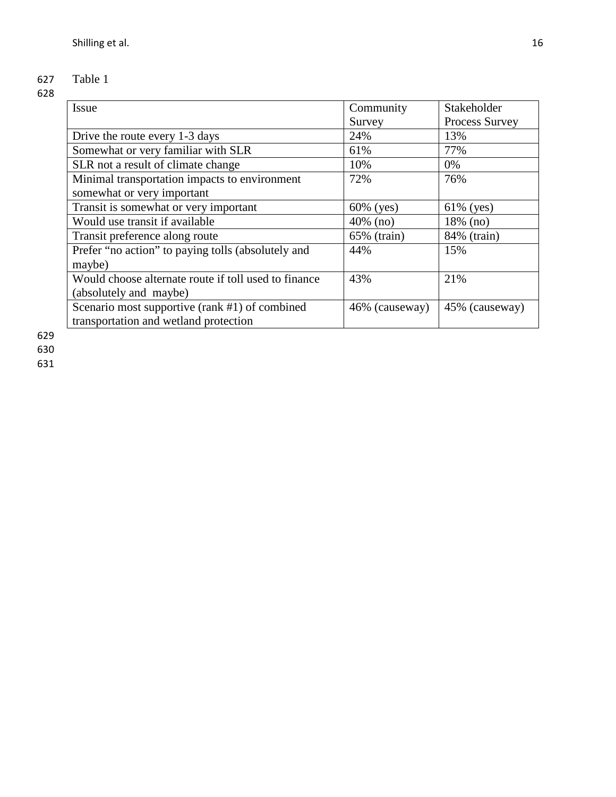## 627 Table 1

## 628

| <i>Issue</i>                                         | Community      | <b>Stakeholder</b> |
|------------------------------------------------------|----------------|--------------------|
|                                                      | Survey         | Process Survey     |
| Drive the route every 1-3 days                       | 24%            | 13%                |
| Somewhat or very familiar with SLR                   | 61%            | 77%                |
| SLR not a result of climate change                   | 10%            | $0\%$              |
| Minimal transportation impacts to environment        | 72%            | 76%                |
| somewhat or very important                           |                |                    |
| Transit is somewhat or very important                | $60\%$ (yes)   | $61\%$ (yes)       |
| Would use transit if available                       | $40\%$ (no)    | 18% (no)           |
| Transit preference along route                       | 65% (train)    | 84% (train)        |
| Prefer "no action" to paying tolls (absolutely and   | 44%            | 15%                |
| maybe)                                               |                |                    |
| Would choose alternate route if toll used to finance | 43%            | 21%                |
| (absolutely and maybe)                               |                |                    |
| Scenario most supportive (rank #1) of combined       | 46% (causeway) | 45% (causeway)     |
| transportation and wetland protection                |                |                    |

629

630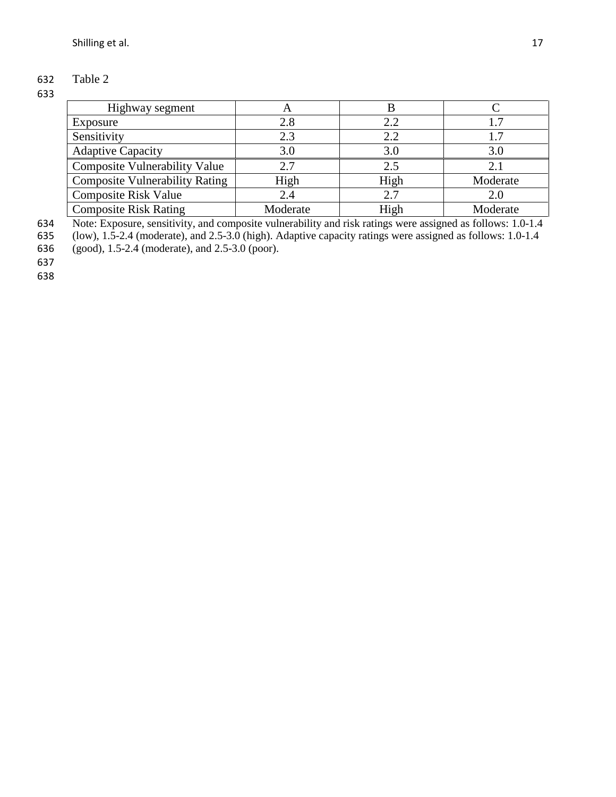## 632 Table 2

#### 633

| Highway segment                       | A        |      |          |
|---------------------------------------|----------|------|----------|
| Exposure                              | 2.8      | 2.2  |          |
| Sensitivity                           | 2.3      | 2.2  |          |
| <b>Adaptive Capacity</b>              | 3.0      | 3.0  | 3.0      |
| <b>Composite Vulnerability Value</b>  | 2.7      | 2.5  | 2.1      |
| <b>Composite Vulnerability Rating</b> | High     | High | Moderate |
| <b>Composite Risk Value</b>           | 2.4      | 2.7  | 2.0      |
| <b>Composite Risk Rating</b>          | Moderate | High | Moderate |

634 Note: Exposure, sensitivity, and composite vulnerability and risk ratings were assigned as follows: 1.0-1.4

635 (low), 1.5-2.4 (moderate), and 2.5-3.0 (high). Adaptive capacity ratings were assigned as follows: 1.0-1.4

636 (good), 1.5-2.4 (moderate), and 2.5-3.0 (poor).

637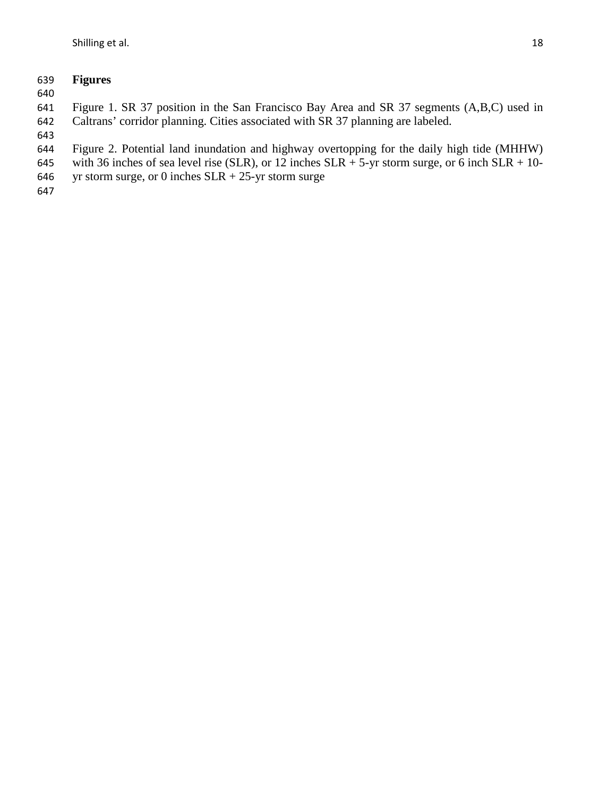## **Figures**

 Figure 1. SR 37 position in the San Francisco Bay Area and SR 37 segments (A,B,C) used in Caltrans' corridor planning. Cities associated with SR 37 planning are labeled.

- Figure 2. Potential land inundation and highway overtopping for the daily high tide (MHHW)
- 645 with 36 inches of sea level rise (SLR), or 12 inches SLR + 5-yr storm surge, or 6 inch SLR + 10-
- 646 yr storm surge, or 0 inches  $SLR + 25$ -yr storm surge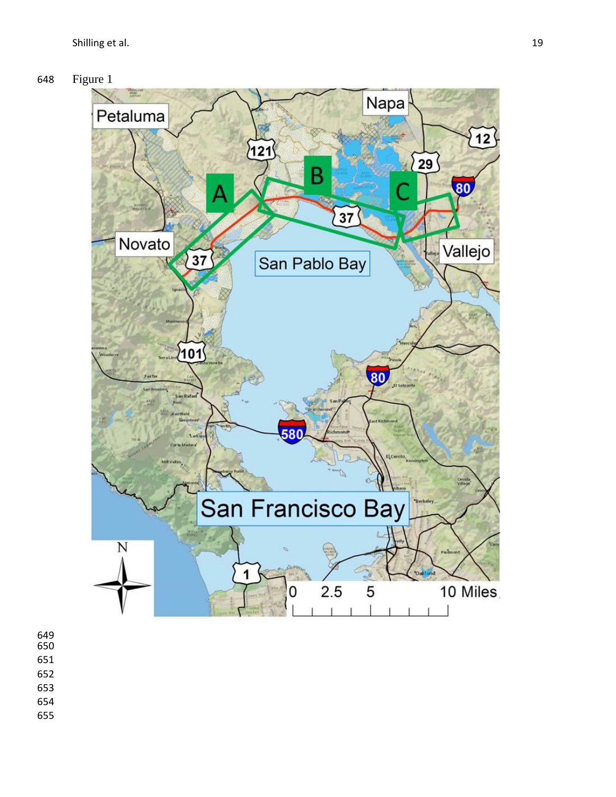



- 
- 
- 
- 
- 
-